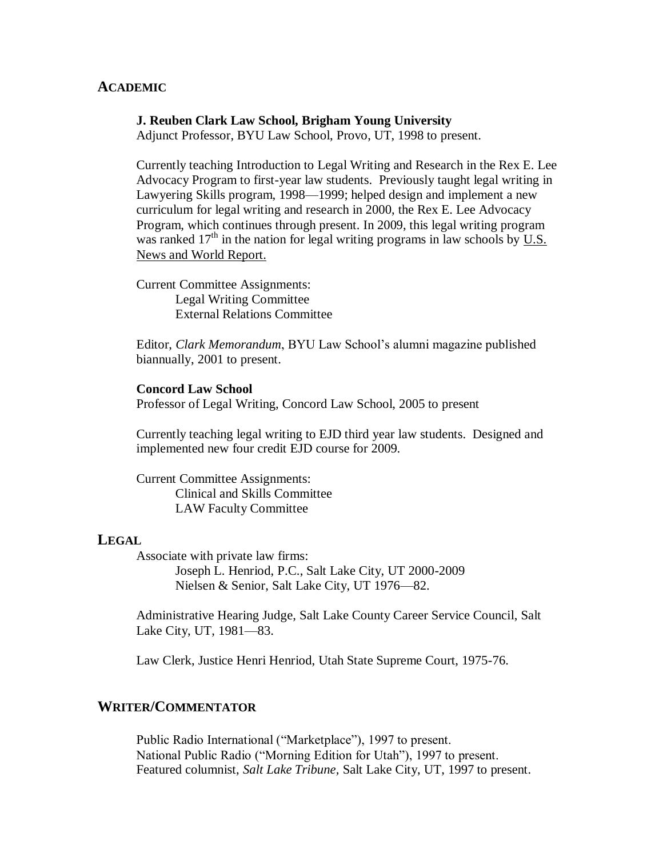## **ACADEMIC**

#### **J. Reuben Clark Law School, Brigham Young University**

Adjunct Professor, BYU Law School, Provo, UT, 1998 to present.

Currently teaching Introduction to Legal Writing and Research in the Rex E. Lee Advocacy Program to first-year law students. Previously taught legal writing in Lawyering Skills program, 1998—1999; helped design and implement a new curriculum for legal writing and research in 2000, the Rex E. Lee Advocacy Program, which continues through present. In 2009, this legal writing program was ranked  $17<sup>th</sup>$  in the nation for legal writing programs in law schools by U.S. News and World Report.

Current Committee Assignments: Legal Writing Committee External Relations Committee

Editor, *Clark Memorandum*, BYU Law School's alumni magazine published biannually, 2001 to present.

### **Concord Law School**

Professor of Legal Writing, Concord Law School, 2005 to present

Currently teaching legal writing to EJD third year law students. Designed and implemented new four credit EJD course for 2009.

Current Committee Assignments: Clinical and Skills Committee LAW Faculty Committee

### **LEGAL**

Associate with private law firms: Joseph L. Henriod, P.C., Salt Lake City, UT 2000-2009 Nielsen & Senior, Salt Lake City, UT 1976—82.

Administrative Hearing Judge, Salt Lake County Career Service Council, Salt Lake City, UT, 1981—83.

Law Clerk, Justice Henri Henriod, Utah State Supreme Court, 1975-76.

## **WRITER/COMMENTATOR**

Public Radio International ("Marketplace"), 1997 to present. National Public Radio ("Morning Edition for Utah"), 1997 to present. Featured columnist, *Salt Lake Tribune,* Salt Lake City, UT, 1997 to present.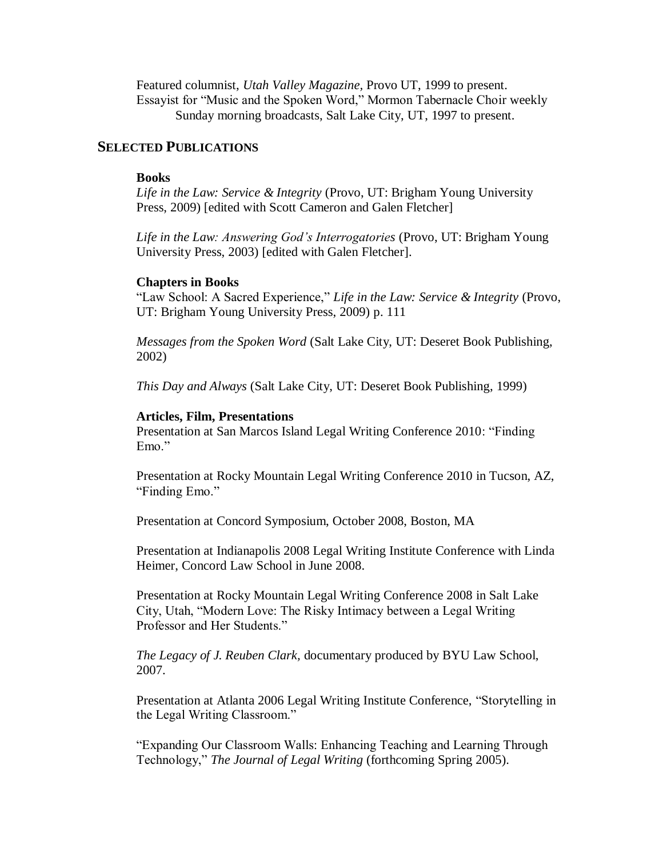Featured columnist, *Utah Valley Magazine,* Provo UT, 1999 to present. Essayist for "Music and the Spoken Word," Mormon Tabernacle Choir weekly Sunday morning broadcasts, Salt Lake City, UT, 1997 to present.

# **SELECTED PUBLICATIONS**

## **Books**

*Life in the Law: Service & Integrity* (Provo, UT: Brigham Young University Press, 2009) [edited with Scott Cameron and Galen Fletcher]

*Life in the Law: Answering God's Interrogatories* (Provo, UT: Brigham Young University Press, 2003) [edited with Galen Fletcher].

### **Chapters in Books**

"Law School: A Sacred Experience," *Life in the Law: Service & Integrity* (Provo, UT: Brigham Young University Press, 2009) p. 111

*Messages from the Spoken Word* (Salt Lake City, UT: Deseret Book Publishing, 2002)

*This Day and Always* (Salt Lake City, UT: Deseret Book Publishing, 1999)

## **Articles, Film, Presentations**

Presentation at San Marcos Island Legal Writing Conference 2010: "Finding Emo."

Presentation at Rocky Mountain Legal Writing Conference 2010 in Tucson, AZ, "Finding Emo."

Presentation at Concord Symposium, October 2008, Boston, MA

Presentation at Indianapolis 2008 Legal Writing Institute Conference with Linda Heimer, Concord Law School in June 2008.

Presentation at Rocky Mountain Legal Writing Conference 2008 in Salt Lake City, Utah, "Modern Love: The Risky Intimacy between a Legal Writing Professor and Her Students."

*The Legacy of J. Reuben Clark,* documentary produced by BYU Law School, 2007.

Presentation at Atlanta 2006 Legal Writing Institute Conference, "Storytelling in the Legal Writing Classroom."

"Expanding Our Classroom Walls: Enhancing Teaching and Learning Through Technology," *The Journal of Legal Writing* (forthcoming Spring 2005).